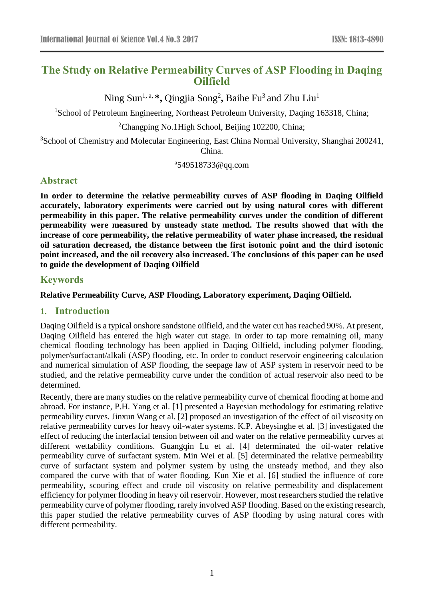# **The Study on Relative Permeability Curves of ASP Flooding in Daqing Oilfield**

Ning Sun<sup>1, a,</sup> \*, Qingjia Song<sup>2</sup>, Baihe Fu<sup>3</sup> and Zhu Liu<sup>1</sup>

<sup>1</sup>School of Petroleum Engineering, Northeast Petroleum University, Daqing 163318, China;

<sup>2</sup>Changping No.1High School, Beijing 102200, China;

<sup>3</sup>School of Chemistry and Molecular Engineering, East China Normal University, Shanghai 200241, China.

a 549518733@qq.com

# **Abstract**

**In order to determine the relative permeability curves of ASP flooding in Daqing Oilfield accurately, laboratory experiments were carried out by using natural cores with different permeability in this paper. The relative permeability curves under the condition of different permeability were measured by unsteady state method. The results showed that with the increase of core permeability, the relative permeability of water phase increased, the residual oil saturation decreased, the distance between the first isotonic point and the third isotonic point increased, and the oil recovery also increased. The conclusions of this paper can be used to guide the development of Daqing Oilfield**

# **Keywords**

# **Relative Permeability Curve, ASP Flooding, Laboratory experiment, Daqing Oilfield.**

# **1. Introduction**

Daqing Oilfield is a typical onshore sandstone oilfield, and the water cut has reached 90%. At present, Daqing Oilfield has entered the high water cut stage. In order to tap more remaining oil, many chemical flooding technology has been applied in Daqing Oilfield, including polymer flooding, polymer/surfactant/alkali (ASP) flooding, etc. In order to conduct reservoir engineering calculation and numerical simulation of ASP flooding, the seepage law of ASP system in reservoir need to be studied, and the relative permeability curve under the condition of actual reservoir also need to be determined.

Recently, there are many studies on the relative permeability curve of chemical flooding at home and abroad. For instance, P.H. Yang et al. [1] presented a Bayesian methodology for estimating relative permeability curves. Jinxun Wang et al. [2] proposed an investigation of the effect of oil viscosity on relative permeability curves for heavy oil-water systems. K.P. Abeysinghe et al. [3] investigated the effect of reducing the interfacial tension between oil and water on the relative permeability curves at different wettability conditions. Guangqin Lu et al. [4] determinated the oil-water relative permeability curve of surfactant system. Min Wei et al. [5] determinated the relative permeability curve of surfactant system and polymer system by using the unsteady method, and they also compared the curve with that of water flooding. Kun Xie et al. [6] studied the influence of core permeability, scouring effect and crude oil viscosity on relative permeability and displacement efficiency for polymer flooding in heavy oil reservoir. However, most researchers studied the relative permeability curve of polymer flooding, rarely involved ASP flooding. Based on the existing research, this paper studied the relative permeability curves of ASP flooding by using natural cores with different permeability.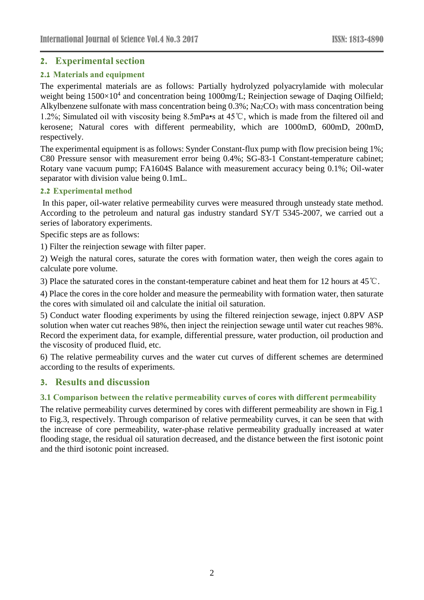# **2. Experimental section**

# **2.1 Materials and equipment**

The experimental materials are as follows: Partially hydrolyzed polyacrylamide with molecular weight being 1500×10<sup>4</sup> and concentration being 1000mg/L; Reinjection sewage of Daqing Oilfield; Alkylbenzene sulfonate with mass concentration being 0.3%; Na<sub>2</sub>CO<sub>3</sub> with mass concentration being 1.2%; Simulated oil with viscosity being 8.5mPa•s at 45℃, which is made from the filtered oil and kerosene; Natural cores with different permeability, which are 1000mD, 600mD, 200mD, respectively.

The experimental equipment is as follows: Synder Constant-flux pump with flow precision being 1%; C80 Pressure sensor with measurement error being 0.4%; SG-83-1 Constant-temperature cabinet; Rotary vane vacuum pump; FA1604S Balance with measurement accuracy being 0.1%; Oil-water separator with division value being 0.1mL.

#### **2.2 Experimental method**

In this paper, oil-water relative permeability curves were measured through unsteady state method. According to the petroleum and natural gas industry standard SY/T 5345-2007, we carried out a series of laboratory experiments.

Specific steps are as follows:

1) Filter the reinjection sewage with filter paper.

2) Weigh the natural cores, saturate the cores with formation water, then weigh the cores again to calculate pore volume.

3) Place the saturated cores in the constant-temperature cabinet and heat them for 12 hours at 45℃.

4) Place the cores in the core holder and measure the permeability with formation water, then saturate the cores with simulated oil and calculate the initial oil saturation.

5) Conduct water flooding experiments by using the filtered reinjection sewage, inject 0.8PV ASP solution when water cut reaches 98%, then inject the reinjection sewage until water cut reaches 98%. Record the experiment data, for example, differential pressure, water production, oil production and the viscosity of produced fluid, etc.

6) The relative permeability curves and the water cut curves of different schemes are determined according to the results of experiments.

# **3. Results and discussion**

# **3.1 Comparison between the relative permeability curves of cores with different permeability**

The relative permeability curves determined by cores with different permeability are shown in Fig.1 to Fig.3, respectively. Through comparison of relative permeability curves, it can be seen that with the increase of core permeability, water-phase relative permeability gradually increased at water flooding stage, the residual oil saturation decreased, and the distance between the first isotonic point and the third isotonic point increased.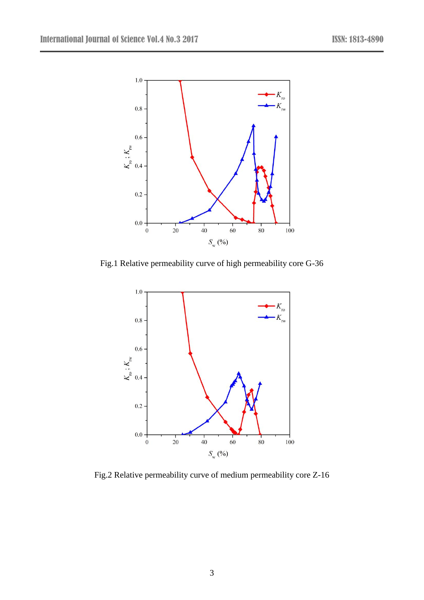

Fig.1 Relative permeability curve of high permeability core G-36



Fig.2 Relative permeability curve of medium permeability core Z-16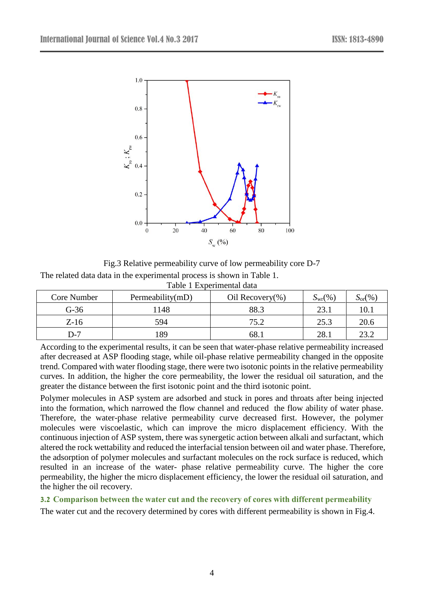

Fig.3 Relative permeability curve of low permeability core D-7 The related data data in the experimental process is shown in Table 1. Table 1 Experimental data

| Core Number | Permeability(mD) | Oil Recovery(%) | $S_{\rm wr}(\%)$ | $S_{\text{or}}(\%)$ |
|-------------|------------------|-----------------|------------------|---------------------|
| $G-36$      | 1148             | 88.3            | 23.1             | 10.1                |
| $Z-16$      | 594              | 75.2            | 25.3             | 20.6                |
| D-7         | 89               | 68.             | 28.1             | 23.2                |

According to the experimental results, it can be seen that water-phase relative permeability increased after decreased at ASP flooding stage, while oil-phase relative permeability changed in the opposite trend. Compared with water flooding stage, there were two isotonic points in the relative permeability curves. In addition, the higher the core permeability, the lower the residual oil saturation, and the greater the distance between the first isotonic point and the third isotonic point.

Polymer molecules in ASP system are adsorbed and stuck in pores and throats after being injected into the formation, which narrowed the flow channel and reduced the flow ability of water phase. Therefore, the water-phase relative permeability curve decreased first. However, the polymer molecules were viscoelastic, which can improve the micro displacement efficiency. With the continuous injection of ASP system, there was synergetic action between alkali and surfactant, which altered the rock wettability and reduced the interfacial tension between oil and water phase. Therefore, the adsorption of polymer molecules and surfactant molecules on the rock surface is reduced, which resulted in an increase of the water- phase relative permeability curve. The higher the core permeability, the higher the micro displacement efficiency, the lower the residual oil saturation, and the higher the oil recovery.

**3.2 Comparison between the water cut and the recovery of cores with different permeability**

The water cut and the recovery determined by cores with different permeability is shown in Fig.4.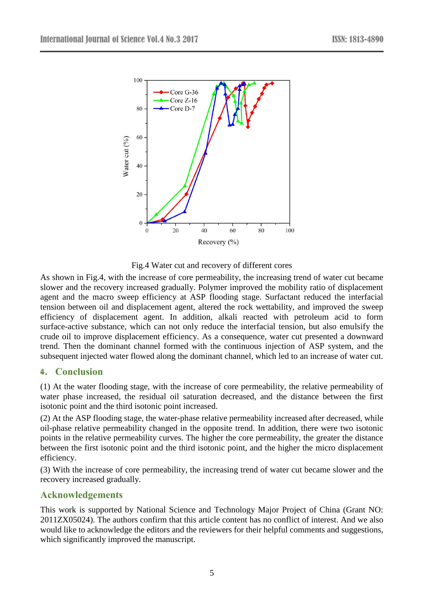

Fig.4 Water cut and recovery of different cores

As shown in Fig.4, with the increase of core permeability, the increasing trend of water cut became slower and the recovery increased gradually. Polymer improved the mobility ratio of displacement agent and the macro sweep efficiency at ASP flooding stage. Surfactant reduced the interfacial tension between oil and displacement agent, altered the rock wettability, and improved the sweep efficiency of displacement agent. In addition, alkali reacted with petroleum acid to form surface-active substance, which can not only reduce the interfacial tension, but also emulsify the crude oil to improve displacement efficiency. As a consequence, water cut presented a downward trend. Then the dominant channel formed with the continuous injection of ASP system, and the subsequent injected water flowed along the dominant channel, which led to an increase of water cut.

# **4. Conclusion**

(1) At the water flooding stage, with the increase of core permeability, the relative permeability of water phase increased, the residual oil saturation decreased, and the distance between the first isotonic point and the third isotonic point increased.

(2) At the ASP flooding stage, the water-phase relative permeability increased after decreased, while oil-phase relative permeability changed in the opposite trend. In addition, there were two isotonic points in the relative permeability curves. The higher the core permeability, the greater the distance between the first isotonic point and the third isotonic point, and the higher the micro displacement efficiency.

(3) With the increase of core permeability, the increasing trend of water cut became slower and the recovery increased gradually.

# **Acknowledgements**

This work is supported by National Science and Technology Major Project of China (Grant NO: 2011ZX05024). The authors confirm that this article content has no conflict of interest. And we also would like to acknowledge the editors and the reviewers for their helpful comments and suggestions, which significantly improved the manuscript.